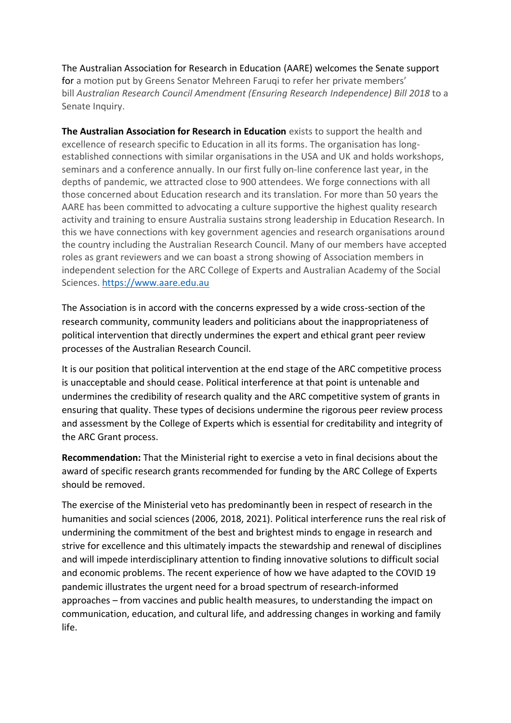The Australian Association for Research in Education (AARE) welcomes the Senate support for a motion put by Greens Senator Mehreen Faruqi to refer her private members' bill *Australian Research Council Amendment (Ensuring Research Independence) Bill 2018* to a Senate Inquiry.

**The Australian Association for Research in Education** exists to support the health and excellence of research specific to Education in all its forms. The organisation has longestablished connections with similar organisations in the USA and UK and holds workshops, seminars and a conference annually. In our first fully on-line conference last year, in the depths of pandemic, we attracted close to 900 attendees. We forge connections with all those concerned about Education research and its translation. For more than 50 years the AARE has been committed to advocating a culture supportive the highest quality research activity and training to ensure Australia sustains strong leadership in Education Research. In this we have connections with key government agencies and research organisations around the country including the Australian Research Council. Many of our members have accepted roles as grant reviewers and we can boast a strong showing of Association members in independent selection for the ARC College of Experts and Australian Academy of the Social Sciences. [https://www.aare.edu.au](https://www.aare.edu.au/)

The Association is in accord with the concerns expressed by a wide cross-section of the research community, community leaders and politicians about the inappropriateness of political intervention that directly undermines the expert and ethical grant peer review processes of the Australian Research Council.

It is our position that political intervention at the end stage of the ARC competitive process is unacceptable and should cease. Political interference at that point is untenable and undermines the credibility of research quality and the ARC competitive system of grants in ensuring that quality. These types of decisions undermine the rigorous peer review process and assessment by the College of Experts which is essential for creditability and integrity of the ARC Grant process.

**Recommendation:** That the Ministerial right to exercise a veto in final decisions about the award of specific research grants recommended for funding by the ARC College of Experts should be removed.

The exercise of the Ministerial veto has predominantly been in respect of research in the humanities and social sciences (2006, 2018, 2021). Political interference runs the real risk of undermining the commitment of the best and brightest minds to engage in research and strive for excellence and this ultimately impacts the stewardship and renewal of disciplines and will impede interdisciplinary attention to finding innovative solutions to difficult social and economic problems. The recent experience of how we have adapted to the COVID 19 pandemic illustrates the urgent need for a broad spectrum of research-informed approaches – from vaccines and public health measures, to understanding the impact on communication, education, and cultural life, and addressing changes in working and family life.